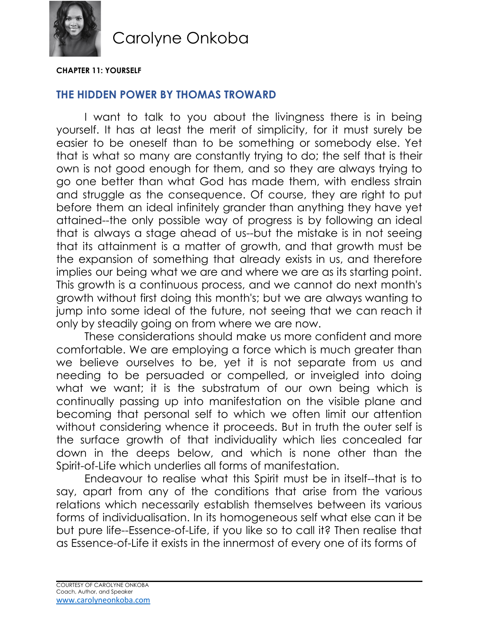

#### **CHAPTER 11: YOURSELF**

#### **THE HIDDEN POWER BY THOMAS TROWARD**

I want to talk to you about the livingness there is in being yourself. It has at least the merit of simplicity, for it must surely be easier to be oneself than to be something or somebody else. Yet that is what so many are constantly trying to do; the self that is their own is not good enough for them, and so they are always trying to go one better than what God has made them, with endless strain and struggle as the consequence. Of course, they are right to put before them an ideal infinitely grander than anything they have yet attained--the only possible way of progress is by following an ideal that is always a stage ahead of us--but the mistake is in not seeing that its attainment is a matter of growth, and that growth must be the expansion of something that already exists in us, and therefore implies our being what we are and where we are as its starting point. This growth is a continuous process, and we cannot do next month's growth without first doing this month's; but we are always wanting to jump into some ideal of the future, not seeing that we can reach it only by steadily going on from where we are now.

These considerations should make us more confident and more comfortable. We are employing a force which is much greater than we believe ourselves to be, yet it is not separate from us and needing to be persuaded or compelled, or inveigled into doing what we want; it is the substratum of our own being which is continually passing up into manifestation on the visible plane and becoming that personal self to which we often limit our attention without considering whence it proceeds. But in truth the outer self is the surface growth of that individuality which lies concealed far down in the deeps below, and which is none other than the Spirit-of-Life which underlies all forms of manifestation.

Endeavour to realise what this Spirit must be in itself--that is to say, apart from any of the conditions that arise from the various relations which necessarily establish themselves between its various forms of individualisation. In its homogeneous self what else can it be but pure life--Essence-of-Life, if you like so to call it? Then realise that as Essence-of-Life it exists in the innermost of every one of its forms of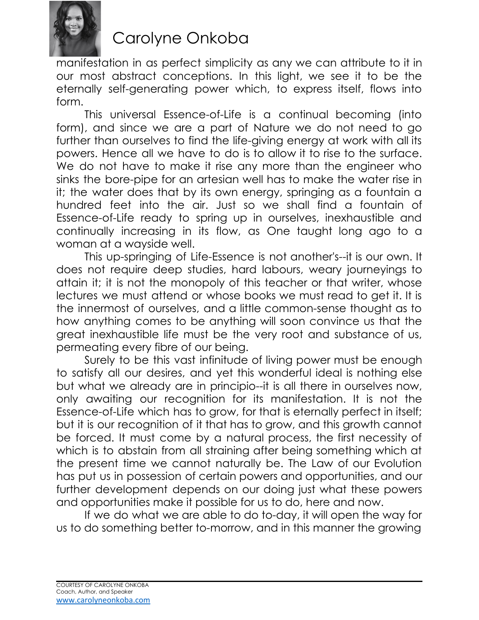

manifestation in as perfect simplicity as any we can attribute to it in our most abstract conceptions. In this light, we see it to be the eternally self-generating power which, to express itself, flows into form.

This universal Essence-of-Life is a continual becoming (into form), and since we are a part of Nature we do not need to go further than ourselves to find the life-giving energy at work with all its powers. Hence all we have to do is to allow it to rise to the surface. We do not have to make it rise any more than the engineer who sinks the bore-pipe for an artesian well has to make the water rise in it; the water does that by its own energy, springing as a fountain a hundred feet into the air. Just so we shall find a fountain of Essence-of-Life ready to spring up in ourselves, inexhaustible and continually increasing in its flow, as One taught long ago to a woman at a wayside well.

This up-springing of Life-Essence is not another's--it is our own. It does not require deep studies, hard labours, weary journeyings to attain it; it is not the monopoly of this teacher or that writer, whose lectures we must attend or whose books we must read to get it. It is the innermost of ourselves, and a little common-sense thought as to how anything comes to be anything will soon convince us that the great inexhaustible life must be the very root and substance of us, permeating every fibre of our being.

Surely to be this vast infinitude of living power must be enough to satisfy all our desires, and yet this wonderful ideal is nothing else but what we already are in principio--it is all there in ourselves now, only awaiting our recognition for its manifestation. It is not the Essence-of-Life which has to grow, for that is eternally perfect in itself; but it is our recognition of it that has to grow, and this growth cannot be forced. It must come by a natural process, the first necessity of which is to abstain from all straining after being something which at the present time we cannot naturally be. The Law of our Evolution has put us in possession of certain powers and opportunities, and our further development depends on our doing just what these powers and opportunities make it possible for us to do, here and now.

If we do what we are able to do to-day, it will open the way for us to do something better to-morrow, and in this manner the growing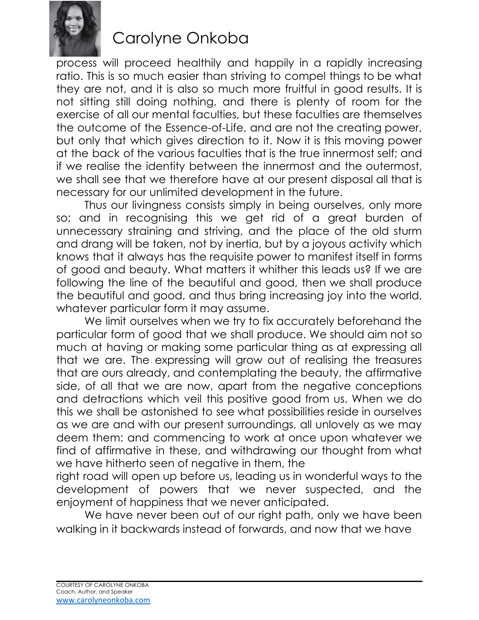

process will proceed healthily and happily in a rapidly increasing ratio. This is so much easier than striving to compel things to be what they are not, and it is also so much more fruitful in good results. It is not sitting still doing nothing, and there is plenty of room for the exercise of all our mental faculties, but these faculties are themselves the outcome of the Essence-of-Life, and are not the creating power, but only that which gives direction to it. Now it is this moving power at the back of the various faculties that is the true innermost self; and if we realise the identity between the innermost and the outermost, we shall see that we therefore have at our present disposal all that is necessary for our unlimited development in the future.

Thus our livingness consists simply in being ourselves, only more so; and in recognising this we get rid of a great burden of unnecessary straining and striving, and the place of the old sturm and drang will be taken, not by inertia, but by a joyous activity which knows that it always has the requisite power to manifest itself in forms of good and beauty. What matters it whither this leads us? If we are following the line of the beautiful and good, then we shall produce the beautiful and good, and thus bring increasing joy into the world, whatever particular form it may assume.

We limit ourselves when we try to fix accurately beforehand the particular form of good that we shall produce. We should aim not so much at having or making some particular thing as at expressing all that we are. The expressing will grow out of realising the treasures that are ours already, and contemplating the beauty, the affirmative side, of all that we are now, apart from the negative conceptions and detractions which veil this positive good from us. When we do this we shall be astonished to see what possibilities reside in ourselves as we are and with our present surroundings, all unlovely as we may deem them: and commencing to work at once upon whatever we find of affirmative in these, and withdrawing our thought from what we have hitherto seen of negative in them, the

right road will open up before us, leading us in wonderful ways to the development of powers that we never suspected, and the enjoyment of happiness that we never anticipated.

We have never been out of our right path, only we have been walking in it backwards instead of forwards, and now that we have